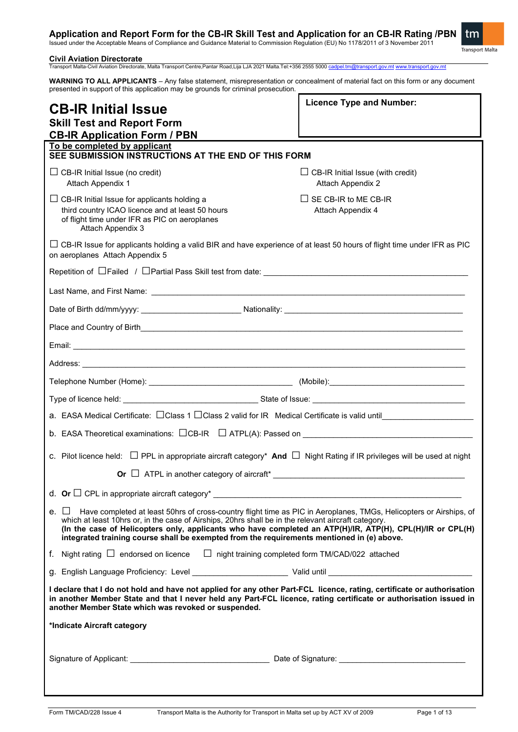# Application and Report Form for the CB-IR Skill Test and Application for an CB-IR Rating /PBN<br>Issued under the Acceptable Means of Compliance and Guidance Material to Commission Regulation (EU) No 1178/2011 of 3 November 2

| 40 N            |  |
|-----------------|--|
| Transport Malta |  |

٦

**Civil Aviation Directorate**<br>Transport Malta-Civil Aviation Directorate, Malta Transport Centre,Pantar Road,Lija LJA 2021 Malta.Tel:+356 2555 5000 <u>[cadpel.tm@transport.gov.mt](mailto:cadpel.tm@transport.gov.mt) www.transport.gov.m</u>t

**WARNING TO ALL APPLICANTS** – Any false statement, misrepresentation or concealment of material fact on this form or any document presented in support of this application may be grounds for criminal prosecution.

| <b>CB-IR Initial Issue</b>                                                                                                                                                                                                                                                                                                                                                                                                                | <b>Licence Type and Number:</b>                               |  |
|-------------------------------------------------------------------------------------------------------------------------------------------------------------------------------------------------------------------------------------------------------------------------------------------------------------------------------------------------------------------------------------------------------------------------------------------|---------------------------------------------------------------|--|
| <b>Skill Test and Report Form</b>                                                                                                                                                                                                                                                                                                                                                                                                         |                                                               |  |
| <b>CB-IR Application Form / PBN</b>                                                                                                                                                                                                                                                                                                                                                                                                       |                                                               |  |
| To be completed by applicant<br>SEE SUBMISSION INSTRUCTIONS AT THE END OF THIS FORM                                                                                                                                                                                                                                                                                                                                                       |                                                               |  |
| $\Box$ CB-IR Initial Issue (no credit)<br>Attach Appendix 1                                                                                                                                                                                                                                                                                                                                                                               | $\Box$ CB-IR Initial Issue (with credit)<br>Attach Appendix 2 |  |
| $\Box$ CB-IR Initial Issue for applicants holding a<br>third country ICAO licence and at least 50 hours<br>of flight time under IFR as PIC on aeroplanes<br>Attach Appendix 3                                                                                                                                                                                                                                                             | $\Box$ SE CB-IR to ME CB-IR<br>Attach Appendix 4              |  |
| $\Box$ CB-IR Issue for applicants holding a valid BIR and have experience of at least 50 hours of flight time under IFR as PIC<br>on aeroplanes Attach Appendix 5                                                                                                                                                                                                                                                                         |                                                               |  |
|                                                                                                                                                                                                                                                                                                                                                                                                                                           |                                                               |  |
|                                                                                                                                                                                                                                                                                                                                                                                                                                           |                                                               |  |
|                                                                                                                                                                                                                                                                                                                                                                                                                                           |                                                               |  |
|                                                                                                                                                                                                                                                                                                                                                                                                                                           |                                                               |  |
|                                                                                                                                                                                                                                                                                                                                                                                                                                           |                                                               |  |
|                                                                                                                                                                                                                                                                                                                                                                                                                                           |                                                               |  |
|                                                                                                                                                                                                                                                                                                                                                                                                                                           |                                                               |  |
|                                                                                                                                                                                                                                                                                                                                                                                                                                           |                                                               |  |
| a. EASA Medical Certificate: $\Box$ Class 1 $\Box$ Class 2 valid for IR Medical Certificate is valid until                                                                                                                                                                                                                                                                                                                                |                                                               |  |
|                                                                                                                                                                                                                                                                                                                                                                                                                                           |                                                               |  |
| c. Pilot licence held: $\Box$ PPL in appropriate aircraft category* And $\Box$ Night Rating if IR privileges will be used at night                                                                                                                                                                                                                                                                                                        |                                                               |  |
| Or $\Box$ ATPL in another category of aircraft* $\Box$                                                                                                                                                                                                                                                                                                                                                                                    |                                                               |  |
| d. Or $\Box$ CPL in appropriate aircraft category*                                                                                                                                                                                                                                                                                                                                                                                        |                                                               |  |
| e. □ Have completed at least 50hrs of cross-country flight time as PIC in Aeroplanes, TMGs, Helicopters or Airships, of<br>which at least 10hrs or, in the case of Airships, 20hrs shall be in the relevant aircraft category.<br>(In the case of Helicopters only, applicants who have completed an ATP(H)/IR, ATP(H), CPL(H)/IR or CPL(H)<br>integrated training course shall be exempted from the requirements mentioned in (e) above. |                                                               |  |
| f. Night rating $\Box$ endorsed on licence $\Box$ night training completed form TM/CAD/022 attached                                                                                                                                                                                                                                                                                                                                       |                                                               |  |
|                                                                                                                                                                                                                                                                                                                                                                                                                                           |                                                               |  |
| I declare that I do not hold and have not applied for any other Part-FCL licence, rating, certificate or authorisation<br>in another Member State and that I never held any Part-FCL licence, rating certificate or authorisation issued in<br>another Member State which was revoked or suspended.                                                                                                                                       |                                                               |  |
| *Indicate Aircraft category                                                                                                                                                                                                                                                                                                                                                                                                               |                                                               |  |
|                                                                                                                                                                                                                                                                                                                                                                                                                                           |                                                               |  |
|                                                                                                                                                                                                                                                                                                                                                                                                                                           |                                                               |  |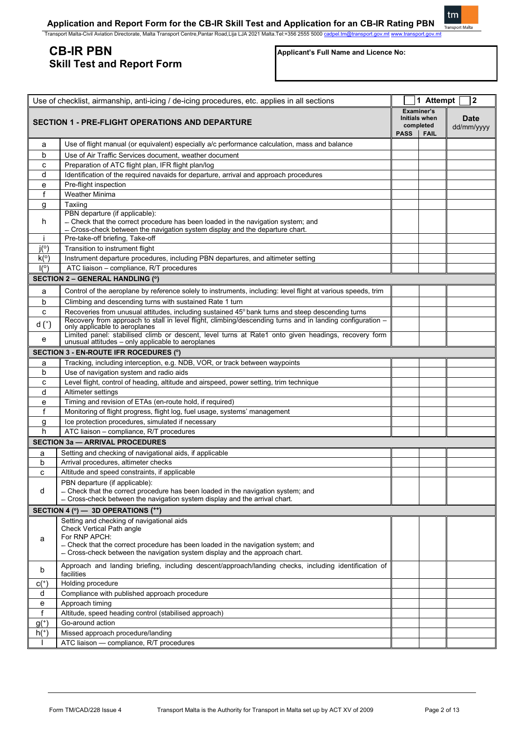# **Application and Report Form for the CB-IR Skill Test and Application for an CB-IR Rating PBN**

Transport Malta-Civil Aviation Directorate, Malta Transport Centre,Pantar Road,Lija LJA 2021 Malta.Tel:+356 2555 5000 ca

# **CB-IR PBN Skill Test and Report Form**

**Applicant's Full Name and Licence No:**

| Use of checklist, airmanship, anti-icing / de-icing procedures, etc. applies in all sections |                                                                                                                                                                                                                                                            |                                                                               | 1 Attempt | 2                         |
|----------------------------------------------------------------------------------------------|------------------------------------------------------------------------------------------------------------------------------------------------------------------------------------------------------------------------------------------------------------|-------------------------------------------------------------------------------|-----------|---------------------------|
| <b>SECTION 1 - PRE-FLIGHT OPERATIONS AND DEPARTURE</b>                                       |                                                                                                                                                                                                                                                            | Examiner's<br><b>Initials when</b><br>completed<br><b>PASS</b><br><b>FAIL</b> |           | <b>Date</b><br>dd/mm/yyyy |
| а                                                                                            | Use of flight manual (or equivalent) especially a/c performance calculation, mass and balance                                                                                                                                                              |                                                                               |           |                           |
| b                                                                                            | Use of Air Traffic Services document, weather document                                                                                                                                                                                                     |                                                                               |           |                           |
| c                                                                                            | Preparation of ATC flight plan, IFR flight plan/log                                                                                                                                                                                                        |                                                                               |           |                           |
| d                                                                                            | Identification of the required navaids for departure, arrival and approach procedures                                                                                                                                                                      |                                                                               |           |                           |
| е                                                                                            | Pre-flight inspection                                                                                                                                                                                                                                      |                                                                               |           |                           |
| f                                                                                            | <b>Weather Minima</b>                                                                                                                                                                                                                                      |                                                                               |           |                           |
| g                                                                                            | Taxiing                                                                                                                                                                                                                                                    |                                                                               |           |                           |
| h.                                                                                           | PBN departure (if applicable):<br>- Check that the correct procedure has been loaded in the navigation system; and<br>- Cross-check between the navigation system display and the departure chart.                                                         |                                                                               |           |                           |
|                                                                                              | Pre-take-off briefing, Take-off                                                                                                                                                                                                                            |                                                                               |           |                           |
| $i^{(0)}$                                                                                    | Transition to instrument flight                                                                                                                                                                                                                            |                                                                               |           |                           |
| k(°)                                                                                         | Instrument departure procedures, including PBN departures, and altimeter setting                                                                                                                                                                           |                                                                               |           |                           |
| I(°)                                                                                         | ATC liaison - compliance, R/T procedures                                                                                                                                                                                                                   |                                                                               |           |                           |
|                                                                                              | <b>SECTION 2 - GENERAL HANDLING (°)</b>                                                                                                                                                                                                                    |                                                                               |           |                           |
| a                                                                                            | Control of the aeroplane by reference solely to instruments, including: level flight at various speeds, trim                                                                                                                                               |                                                                               |           |                           |
| b                                                                                            | Climbing and descending turns with sustained Rate 1 turn                                                                                                                                                                                                   |                                                                               |           |                           |
| C                                                                                            | Recoveries from unusual attitudes, including sustained 45° bank turns and steep descending turns                                                                                                                                                           |                                                                               |           |                           |
| $d*$                                                                                         | Recovery from approach to stall in level flight, climbing/descending turns and in landing configuration -<br>only applicable to aeroplanes                                                                                                                 |                                                                               |           |                           |
| е                                                                                            | Limited panel: stabilised climb or descent, level turns at Rate1 onto given headings, recovery form<br>unusual attitudes - only applicable to aeroplanes                                                                                                   |                                                                               |           |                           |
|                                                                                              | SECTION 3 - EN-ROUTE IFR ROCEDURES (°)                                                                                                                                                                                                                     |                                                                               |           |                           |
| a                                                                                            | Tracking, including interception, e.g. NDB, VOR, or track between waypoints                                                                                                                                                                                |                                                                               |           |                           |
| b                                                                                            | Use of navigation system and radio aids                                                                                                                                                                                                                    |                                                                               |           |                           |
| с                                                                                            | Level flight, control of heading, altitude and airspeed, power setting, trim technique                                                                                                                                                                     |                                                                               |           |                           |
| d                                                                                            | Altimeter settings                                                                                                                                                                                                                                         |                                                                               |           |                           |
| е                                                                                            | Timing and revision of ETAs (en-route hold, if required)                                                                                                                                                                                                   |                                                                               |           |                           |
| f                                                                                            | Monitoring of flight progress, flight log, fuel usage, systems' management                                                                                                                                                                                 |                                                                               |           |                           |
| g                                                                                            | Ice protection procedures, simulated if necessary                                                                                                                                                                                                          |                                                                               |           |                           |
| h                                                                                            | ATC liaison - compliance, R/T procedures                                                                                                                                                                                                                   |                                                                               |           |                           |
|                                                                                              | <b>SECTION 3a - ARRIVAL PROCEDURES</b>                                                                                                                                                                                                                     |                                                                               |           |                           |
| a                                                                                            | Setting and checking of navigational aids, if applicable                                                                                                                                                                                                   |                                                                               |           |                           |
| b                                                                                            | Arrival procedures, altimeter checks                                                                                                                                                                                                                       |                                                                               |           |                           |
| с                                                                                            | Altitude and speed constraints, if applicable                                                                                                                                                                                                              |                                                                               |           |                           |
| d                                                                                            | PBN departure (if applicable):<br>— Check that the correct procedure has been loaded in the navigation system; and<br>- Cross-check between the navigation system display and the arrival chart.                                                           |                                                                               |           |                           |
|                                                                                              | SECTION 4 ( $\degree$ ) - 3D OPERATIONS ( $\Box$ )                                                                                                                                                                                                         |                                                                               |           |                           |
| a                                                                                            | Setting and checking of navigational aids<br>Check Vertical Path angle<br>For RNP APCH:<br>- Check that the correct procedure has been loaded in the navigation system; and<br>- Cross-check between the navigation system display and the approach chart. |                                                                               |           |                           |
| b                                                                                            | Approach and landing briefing, including descent/approach/landing checks, including identification of<br>facilities                                                                                                                                        |                                                                               |           |                           |
| $c(+)$                                                                                       | Holding procedure                                                                                                                                                                                                                                          |                                                                               |           |                           |
| d                                                                                            | Compliance with published approach procedure                                                                                                                                                                                                               |                                                                               |           |                           |
| е                                                                                            | Approach timing                                                                                                                                                                                                                                            |                                                                               |           |                           |
| $\sf f$                                                                                      | Altitude, speed heading control (stabilised approach)                                                                                                                                                                                                      |                                                                               |           |                           |
| $g+$                                                                                         | Go-around action                                                                                                                                                                                                                                           |                                                                               |           |                           |
| $h+$                                                                                         | Missed approach procedure/landing                                                                                                                                                                                                                          |                                                                               |           |                           |
| I.                                                                                           | ATC liaison - compliance, R/T procedures                                                                                                                                                                                                                   |                                                                               |           |                           |
|                                                                                              |                                                                                                                                                                                                                                                            |                                                                               |           |                           |

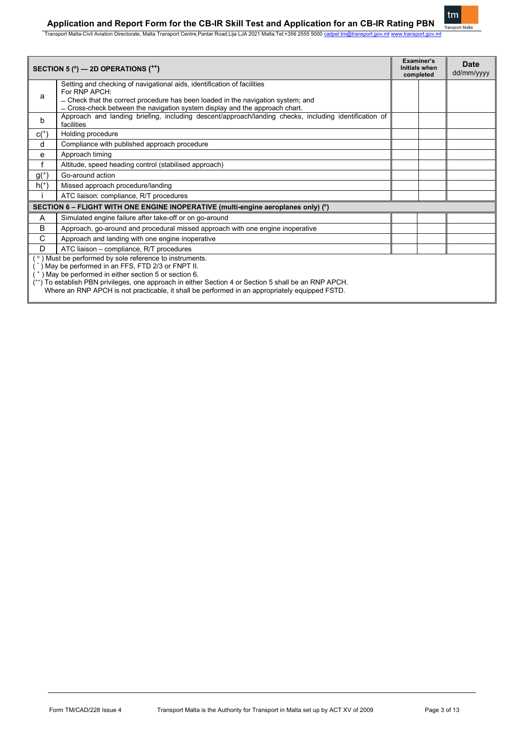

Transport Malta-Civil Aviation Directorate, Malta Transport Centre,Pantar Road,Lija LJA 2021 Malta.Tel:+356 2555 5000 <u>[cadpel.tm@transport.gov.mt](mailto:cadpel.tm@transport.gov.mt) [www.transport.gov.mt](http://www.transport.gov.mt/)</u>

|                                                                                   | SECTION 5 ( $\degree$ ) — 2D OPERATIONS ( $\Box$ )                                                                                                                                                                                                                                                                                                                         |  | <b>Examiner's</b><br><b>Initials when</b><br>completed | <b>Date</b><br>dd/mm/yyyy |
|-----------------------------------------------------------------------------------|----------------------------------------------------------------------------------------------------------------------------------------------------------------------------------------------------------------------------------------------------------------------------------------------------------------------------------------------------------------------------|--|--------------------------------------------------------|---------------------------|
| a                                                                                 | Setting and checking of navigational aids, identification of facilities<br>For RNP APCH:<br>- Check that the correct procedure has been loaded in the navigation system; and<br>- Cross-check between the navigation system display and the approach chart.                                                                                                                |  |                                                        |                           |
| b                                                                                 | Approach and landing briefing, including descent/approach/landing checks, including identification of<br>facilities                                                                                                                                                                                                                                                        |  |                                                        |                           |
| $C^{(+)}$                                                                         | Holding procedure                                                                                                                                                                                                                                                                                                                                                          |  |                                                        |                           |
| d                                                                                 | Compliance with published approach procedure                                                                                                                                                                                                                                                                                                                               |  |                                                        |                           |
| е                                                                                 | Approach timing                                                                                                                                                                                                                                                                                                                                                            |  |                                                        |                           |
| f                                                                                 | Altitude, speed heading control (stabilised approach)                                                                                                                                                                                                                                                                                                                      |  |                                                        |                           |
| $g+$                                                                              | Go-around action                                                                                                                                                                                                                                                                                                                                                           |  |                                                        |                           |
| $h+$                                                                              | Missed approach procedure/landing                                                                                                                                                                                                                                                                                                                                          |  |                                                        |                           |
|                                                                                   | ATC liaison: compliance, R/T procedures                                                                                                                                                                                                                                                                                                                                    |  |                                                        |                           |
| SECTION 6 – FLIGHT WITH ONE ENGINE INOPERATIVE (multi-engine aeroplanes only) (°) |                                                                                                                                                                                                                                                                                                                                                                            |  |                                                        |                           |
| A                                                                                 | Simulated engine failure after take-off or on go-around                                                                                                                                                                                                                                                                                                                    |  |                                                        |                           |
| B                                                                                 | Approach, go-around and procedural missed approach with one engine inoperative                                                                                                                                                                                                                                                                                             |  |                                                        |                           |
| C                                                                                 | Approach and landing with one engine inoperative                                                                                                                                                                                                                                                                                                                           |  |                                                        |                           |
| D                                                                                 | ATC liaison - compliance, R/T procedures                                                                                                                                                                                                                                                                                                                                   |  |                                                        |                           |
|                                                                                   | (°) Must be performed by sole reference to instruments.<br>May be performed in an FFS, FTD 2/3 or FNPT II.<br>(*) May be performed in either section 5 or section 6.<br>To establish PBN privileges, one approach in either Section 4 or Section 5 shall be an RNP APCH.<br>Where an RNP APCH is not practicable, it shall be performed in an appropriately equipped FSTD. |  |                                                        |                           |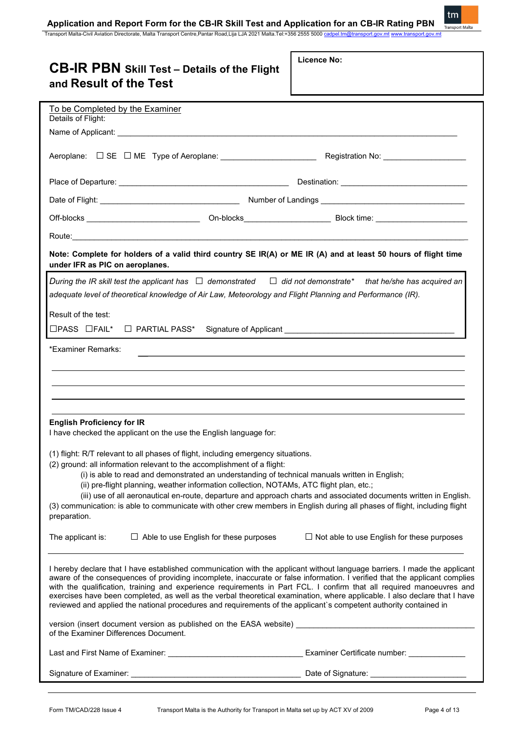Transport Malta Transport Malta-Civil Aviation Directorate, Malta Transport Centre,Pantar Road,Lija LJA 2021 Malta.Tel:+356 2555 5000 cadp

| <b>CB-IR PBN Skill Test - Details of the Flight</b><br>and Result of the Test                                                                                                                                                                                                                                                                                                                                                                                                                                                                                                                                                      | Licence No:                                       |  |
|------------------------------------------------------------------------------------------------------------------------------------------------------------------------------------------------------------------------------------------------------------------------------------------------------------------------------------------------------------------------------------------------------------------------------------------------------------------------------------------------------------------------------------------------------------------------------------------------------------------------------------|---------------------------------------------------|--|
| To be Completed by the Examiner<br>Details of Flight:                                                                                                                                                                                                                                                                                                                                                                                                                                                                                                                                                                              |                                                   |  |
|                                                                                                                                                                                                                                                                                                                                                                                                                                                                                                                                                                                                                                    |                                                   |  |
| Aeroplane: □ SE □ ME Type of Aeroplane: ______________________                                                                                                                                                                                                                                                                                                                                                                                                                                                                                                                                                                     | Registration No: _____________________            |  |
|                                                                                                                                                                                                                                                                                                                                                                                                                                                                                                                                                                                                                                    |                                                   |  |
|                                                                                                                                                                                                                                                                                                                                                                                                                                                                                                                                                                                                                                    |                                                   |  |
|                                                                                                                                                                                                                                                                                                                                                                                                                                                                                                                                                                                                                                    |                                                   |  |
|                                                                                                                                                                                                                                                                                                                                                                                                                                                                                                                                                                                                                                    |                                                   |  |
| Note: Complete for holders of a valid third country SE IR(A) or ME IR (A) and at least 50 hours of flight time<br>under IFR as PIC on aeroplanes.                                                                                                                                                                                                                                                                                                                                                                                                                                                                                  |                                                   |  |
| During the IR skill test the applicant has $\Box$ demonstrated $\Box$ did not demonstrate* that he/she has acquired an<br>adequate level of theoretical knowledge of Air Law, Meteorology and Flight Planning and Performance (IR).                                                                                                                                                                                                                                                                                                                                                                                                |                                                   |  |
| Result of the test:                                                                                                                                                                                                                                                                                                                                                                                                                                                                                                                                                                                                                |                                                   |  |
| $\square$ PASS $\square$ FAIL*<br>$\Box$ PARTIAL PASS*                                                                                                                                                                                                                                                                                                                                                                                                                                                                                                                                                                             |                                                   |  |
| *Examiner Remarks:                                                                                                                                                                                                                                                                                                                                                                                                                                                                                                                                                                                                                 |                                                   |  |
| <b>English Proficiency for IR</b><br>I have checked the applicant on the use the English language for:                                                                                                                                                                                                                                                                                                                                                                                                                                                                                                                             |                                                   |  |
| (1) flight: R/T relevant to all phases of flight, including emergency situations.<br>(2) ground: all information relevant to the accomplishment of a flight:<br>(i) is able to read and demonstrated an understanding of technical manuals written in English;<br>(ii) pre-flight planning, weather information collection, NOTAMs, ATC flight plan, etc.;<br>(iii) use of all aeronautical en-route, departure and approach charts and associated documents written in English.<br>(3) communication: is able to communicate with other crew members in English during all phases of flight, including flight<br>preparation.     |                                                   |  |
| $\Box$ Able to use English for these purposes<br>The applicant is:                                                                                                                                                                                                                                                                                                                                                                                                                                                                                                                                                                 | $\Box$ Not able to use English for these purposes |  |
| I hereby declare that I have established communication with the applicant without language barriers. I made the applicant<br>aware of the consequences of providing incomplete, inaccurate or false information. I verified that the applicant complies<br>with the qualification, training and experience requirements in Part FCL. I confirm that all required manoeuvres and<br>exercises have been completed, as well as the verbal theoretical examination, where applicable. I also declare that I have<br>reviewed and applied the national procedures and requirements of the applicant's competent authority contained in |                                                   |  |
| version (insert document version as published on the EASA website) ________________________________<br>of the Examiner Differences Document.                                                                                                                                                                                                                                                                                                                                                                                                                                                                                       |                                                   |  |
|                                                                                                                                                                                                                                                                                                                                                                                                                                                                                                                                                                                                                                    |                                                   |  |
|                                                                                                                                                                                                                                                                                                                                                                                                                                                                                                                                                                                                                                    |                                                   |  |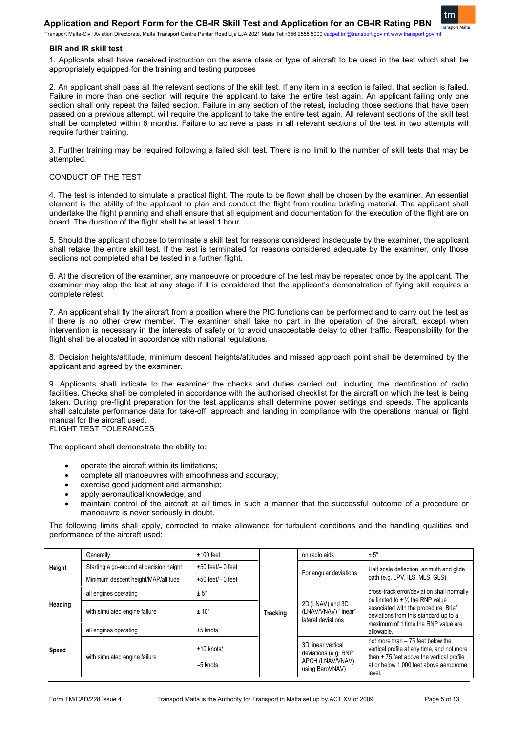Transport Malta-Civil Aviation Directorate, Malta Transport Centre,Pantar Road,Lija LJA 2021 Malta.Tel:+356 2555 5000 ca

### **BIR and IR skill test**

1. Applicants shall have received instruction on the same class or type of aircraft to be used in the test which shall be appropriately equipped for the training and testing purposes

2. An applicant shall pass all the relevant sections of the skill test. If any item in a section is failed, that section is failed. Failure in more than one section will require the applicant to take the entire test again. An applicant failing only one section shall only repeat the failed section. Failure in any section of the retest, including those sections that have been passed on a previous attempt, will require the applicant to take the entire test again. All relevant sections of the skill test shall be completed within 6 months. Failure to achieve a pass in all relevant sections of the test in two attempts will require further training.

3. Further training may be required following a failed skill test. There is no limit to the number of skill tests that may be attempted.

### CONDUCT OF THE TEST

4. The test is intended to simulate a practical flight. The route to be flown shall be chosen by the examiner. An essential element is the ability of the applicant to plan and conduct the flight from routine briefing material. The applicant shall undertake the flight planning and shall ensure that all equipment and documentation for the execution of the flight are on board. The duration of the flight shall be at least 1 hour.

5. Should the applicant choose to terminate a skill test for reasons considered inadequate by the examiner, the applicant shall retake the entire skill test. If the test is terminated for reasons considered adequate by the examiner, only those sections not completed shall be tested in a further flight.

6. At the discretion of the examiner, any manoeuvre or procedure of the test may be repeated once by the applicant. The examiner may stop the test at any stage if it is considered that the applicant's demonstration of flying skill requires a complete retest.

7. An applicant shall fly the aircraft from a position where the PIC functions can be performed and to carry out the test as if there is no other crew member. The examiner shall take no part in the operation of the aircraft, except when intervention is necessary in the interests of safety or to avoid unacceptable delay to other traffic. Responsibility for the flight shall be allocated in accordance with national regulations.

8. Decision heights/altitude, minimum descent heights/altitudes and missed approach point shall be determined by the applicant and agreed by the examiner.

9. Applicants shall indicate to the examiner the checks and duties carried out, including the identification of radio facilities. Checks shall be completed in accordance with the authorised checklist for the aircraft on which the test is being taken. During pre-flight preparation for the test applicants shall determine power settings and speeds. The applicants shall calculate performance data for take-off, approach and landing in compliance with the operations manual or flight manual for the aircraft used.

### FLIGHT TEST TOLERANCES

The applicant shall demonstrate the ability to:

- operate the aircraft within its limitations;
- complete all manoeuvres with smoothness and accuracy;
- exercise good judgment and airmanship;
- apply aeronautical knowledge; and
- maintain control of the aircraft at all times in such a manner that the successful outcome of a procedure or manoeuvre is never seriously in doubt.

The following limits shall apply, corrected to make allowance for turbulent conditions and the handling qualities and performance of the aircraft used:

|         | Generally                               | $±100$ feet                |          | on radio aids                                                                     | $± 5^\circ$                                                                                                                                                                       |
|---------|-----------------------------------------|----------------------------|----------|-----------------------------------------------------------------------------------|-----------------------------------------------------------------------------------------------------------------------------------------------------------------------------------|
| Height  | Starting a go-around at decision height | $+50$ feet/ $-0$ feet      |          |                                                                                   | Half scale deflection, azimuth and glide                                                                                                                                          |
|         | Minimum descent height/MAP/altitude     | $+50$ feet/ $-0$ feet      |          | For angular deviations                                                            | path (e.g. LPV, ILS, MLS, GLS)                                                                                                                                                    |
|         | all engines operating                   | $± 5^\circ$                |          |                                                                                   | cross-track error/deviation shall normally<br>be limited to $\pm$ 1/ <sub>2</sub> the RNP value                                                                                   |
| Heading | with simulated engine failure           | $± 10^{\circ}$             | Tracking | 2D (LNAV) and 3D<br>(LNAV/VNAV) "linear"<br>lateral deviations                    | associated with the procedure. Brief<br>deviations from this standard up to a<br>maximum of 1 time the RNP value are                                                              |
|         | all engines operating                   | $±5$ knots                 |          |                                                                                   | allowable.                                                                                                                                                                        |
| Speed   | with simulated engine failure           | $+10$ knots/<br>$-5$ knots |          | 3D linear vertical<br>deviations (e.g. RNP<br>APCH (LNAV/VNAV)<br>using BaroVNAV) | not more than - 75 feet below the<br>vertical profile at any time, and not more<br>than $+75$ feet above the vertical profile<br>at or below 1,000 feet above aerodrome<br>level. |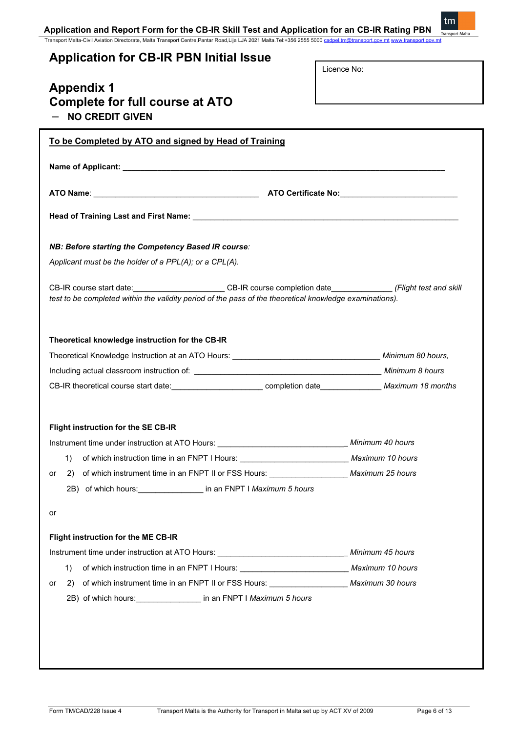Transport Malta-Civil Aviation Directorate, Malta Transport Centre,Pantar Road,Lija LJA 2021 Malta.Tel:+356 2555 5000 <u>[cadpel.tm@transport.gov.mt](mailto:cadpel.tm@transport.gov.mt)</u> www.transport.gov.<u>mt</u>

# **Application for CB-IR PBN Initial Issue**

Licence No:

| <b>Appendix 1</b><br><b>Complete for full course at ATO</b><br><b>NO CREDIT GIVEN</b>                                                                                                   |                  |  |  |  |
|-----------------------------------------------------------------------------------------------------------------------------------------------------------------------------------------|------------------|--|--|--|
| To be Completed by ATO and signed by Head of Training                                                                                                                                   |                  |  |  |  |
|                                                                                                                                                                                         |                  |  |  |  |
|                                                                                                                                                                                         |                  |  |  |  |
|                                                                                                                                                                                         |                  |  |  |  |
| NB: Before starting the Competency Based IR course:<br>Applicant must be the holder of a PPL(A); or a CPL(A).                                                                           |                  |  |  |  |
| CB-IR course start date: CB-IR course completion date (Flight test and skill<br>test to be completed within the validity period of the pass of the theoretical knowledge examinations). |                  |  |  |  |
| Theoretical knowledge instruction for the CB-IR<br>CB-IR theoretical course start date: ___________________________ completion date ______________ Maximum 18 months                    |                  |  |  |  |
| Flight instruction for the SE CB-IR                                                                                                                                                     |                  |  |  |  |
|                                                                                                                                                                                         |                  |  |  |  |
| of which instruction time in an FNPT I Hours:<br>1)                                                                                                                                     | Maximum 10 hours |  |  |  |
| of which instrument time in an FNPT II or FSS Hours: ______________________ Maximum 25 hours<br>2)<br>or                                                                                |                  |  |  |  |
| 2B) of which hours: _________________ in an FNPT I Maximum 5 hours                                                                                                                      |                  |  |  |  |
| or                                                                                                                                                                                      |                  |  |  |  |
| Flight instruction for the ME CB-IR                                                                                                                                                     |                  |  |  |  |
| Instrument time under instruction at ATO Hours: [1989] [1989] [1989] [1989] [1989] [1989] [1989] [1989] [1989]                                                                          | Minimum 45 hours |  |  |  |
| of which instruction time in an FNPT I Hours: __________________________________ Maximum 10 hours<br>1)                                                                                 |                  |  |  |  |
| of which instrument time in an FNPT II or FSS Hours: _____________________ Maximum 30 hours<br>2)<br>or                                                                                 |                  |  |  |  |
| 2B) of which hours: ________________ in an FNPT I Maximum 5 hours                                                                                                                       |                  |  |  |  |
|                                                                                                                                                                                         |                  |  |  |  |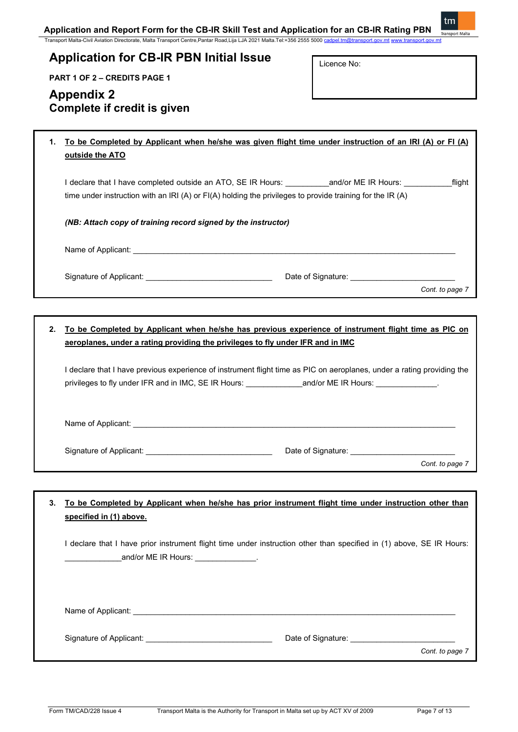Transport Malta-Civil Aviation Directorate, Malta Transport Centre,Pantar Road,Lija LJA 2021 Malta.Tel:+356 2555 5000 <u>[cadpel.tm@transport.gov.mt](mailto:cadpel.tm@transport.gov.mt)</u> www.transport<u>.gov.mt</u>

# **Application for CB-IR PBN Initial Issue**

**PART 1 OF 2 – CREDITS PAGE 1**

# **Appendix 2 Complete if credit is given**

Licence No:

| 1. | To be Completed by Applicant when he/she was given flight time under instruction of an IRI (A) or FI (A)<br>outside the ATO                                                                                           |                 |
|----|-----------------------------------------------------------------------------------------------------------------------------------------------------------------------------------------------------------------------|-----------------|
|    | I declare that I have completed outside an ATO, SE IR Hours: ___________and/or ME IR Hours: ___________<br>time under instruction with an IRI (A) or $F(A)$ holding the privileges to provide training for the IR (A) | flight          |
|    | (NB: Attach copy of training record signed by the instructor)                                                                                                                                                         |                 |
|    |                                                                                                                                                                                                                       |                 |
|    |                                                                                                                                                                                                                       | Cont. to page 7 |
|    |                                                                                                                                                                                                                       |                 |
| 2. | To be Completed by Applicant when he/she has previous experience of instrument flight time as PIC on<br>aeroplanes, under a rating providing the privileges to fly under IFR and in IMC                               |                 |

I declare that I have previous experience of instrument flight time as PIC on aeroplanes, under a rating providing the privileges to fly under IFR and in IMC, SE IR Hours: \_\_\_\_\_\_\_\_\_\_\_\_\_\_\_\_\_and/or ME IR Hours: \_\_\_\_\_\_\_\_\_\_\_\_\_\_\_

Name of Applicant: \_\_\_\_\_\_\_\_\_\_\_\_\_\_\_\_\_\_\_\_\_\_\_\_\_\_\_\_\_\_\_\_\_\_\_\_\_\_\_\_\_\_\_\_\_\_\_\_\_\_\_\_\_\_\_\_\_\_\_\_\_\_\_\_\_\_\_\_\_\_\_\_\_\_

Signature of Applicant: \_\_\_\_\_\_\_\_\_\_\_\_\_\_\_\_\_\_\_\_\_\_\_\_\_\_\_\_\_ Date of Signature: \_\_\_\_\_\_\_\_\_\_\_\_\_\_\_\_\_\_\_\_\_\_\_\_

*Cont. to page 7*

tm

**3. To be Completed by Applicant when he/she has prior instrument flight time under instruction other than specified in (1) above.**

I declare that I have prior instrument flight time under instruction other than specified in (1) above, SE IR Hours: and/or ME IR Hours: **We are all the Set of Allen** 

Name of Applicant: \_\_\_\_\_\_\_\_\_\_\_\_\_\_\_\_\_\_\_\_\_\_\_\_\_\_\_\_\_\_\_\_\_\_\_\_\_\_\_\_\_\_\_\_\_\_\_\_\_\_\_\_\_\_\_\_\_\_\_\_\_\_\_\_\_\_\_\_\_\_\_\_\_\_

Signature of Applicant: \_\_\_\_\_\_\_\_\_\_\_\_\_\_\_\_\_\_\_\_\_\_\_\_\_\_\_\_\_ Date of Signature: \_\_\_\_\_\_\_\_\_\_\_\_\_\_\_\_\_\_\_\_\_\_\_\_

*Cont. to page 7*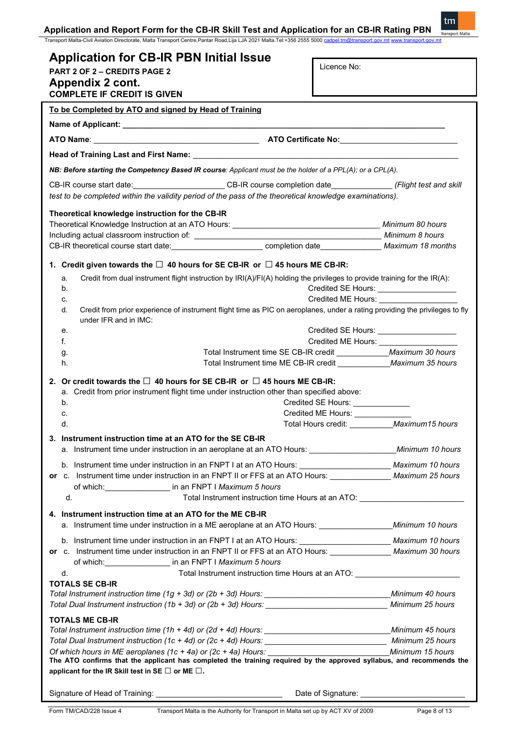Transport Malta-Civil Aviation Directorate, Malta Transport Centre,Pantar Road,Lija LJA 2021 Malta.Tel:+356 2555 5000 [cadpel.tm@transport.gov.mt](mailto:cadpel.tm@transport.gov.mt) www.tr

| To be Completed by ATO and signed by Head of Training<br>Head of Training Last and First Name: <b>All According to the Contract of Training Last and First Name:</b> All According to the Contract of Training Last and First Name: <b>All According to the Contract of Training Last and Firs</b><br>NB: Before starting the Competency Based IR course: Applicant must be the holder of a PPL(A); or a CPL(A).<br>CB-IR course start date: CB-IR course completion date (Flight test and skill<br>test to be completed within the validity period of the pass of the theoretical knowledge examinations).<br>Theoretical knowledge instruction for the CB-IR<br>CB-IR theoretical course start date: _____________________________ completion date _______________ Maximum 18 months<br>1. Credit given towards the $\square$ 40 hours for SE CB-IR or $\square$ 45 hours ME CB-IR:<br>Credit from dual instrument flight instruction by IRI(A)/FI(A) holding the privileges to provide training for the IR(A):<br>a.<br>b.<br>Credited SE Hours: _____________________<br>Credited ME Hours: __________<br>C.<br>Credit from prior experience of instrument flight time as PIC on aeroplanes, under a rating providing the privileges to fly<br>d.<br>under IFR and in IMC: |
|--------------------------------------------------------------------------------------------------------------------------------------------------------------------------------------------------------------------------------------------------------------------------------------------------------------------------------------------------------------------------------------------------------------------------------------------------------------------------------------------------------------------------------------------------------------------------------------------------------------------------------------------------------------------------------------------------------------------------------------------------------------------------------------------------------------------------------------------------------------------------------------------------------------------------------------------------------------------------------------------------------------------------------------------------------------------------------------------------------------------------------------------------------------------------------------------------------------------------------------------------------------------------------|
|                                                                                                                                                                                                                                                                                                                                                                                                                                                                                                                                                                                                                                                                                                                                                                                                                                                                                                                                                                                                                                                                                                                                                                                                                                                                                |
|                                                                                                                                                                                                                                                                                                                                                                                                                                                                                                                                                                                                                                                                                                                                                                                                                                                                                                                                                                                                                                                                                                                                                                                                                                                                                |
|                                                                                                                                                                                                                                                                                                                                                                                                                                                                                                                                                                                                                                                                                                                                                                                                                                                                                                                                                                                                                                                                                                                                                                                                                                                                                |
|                                                                                                                                                                                                                                                                                                                                                                                                                                                                                                                                                                                                                                                                                                                                                                                                                                                                                                                                                                                                                                                                                                                                                                                                                                                                                |
|                                                                                                                                                                                                                                                                                                                                                                                                                                                                                                                                                                                                                                                                                                                                                                                                                                                                                                                                                                                                                                                                                                                                                                                                                                                                                |
|                                                                                                                                                                                                                                                                                                                                                                                                                                                                                                                                                                                                                                                                                                                                                                                                                                                                                                                                                                                                                                                                                                                                                                                                                                                                                |
|                                                                                                                                                                                                                                                                                                                                                                                                                                                                                                                                                                                                                                                                                                                                                                                                                                                                                                                                                                                                                                                                                                                                                                                                                                                                                |
|                                                                                                                                                                                                                                                                                                                                                                                                                                                                                                                                                                                                                                                                                                                                                                                                                                                                                                                                                                                                                                                                                                                                                                                                                                                                                |
|                                                                                                                                                                                                                                                                                                                                                                                                                                                                                                                                                                                                                                                                                                                                                                                                                                                                                                                                                                                                                                                                                                                                                                                                                                                                                |
|                                                                                                                                                                                                                                                                                                                                                                                                                                                                                                                                                                                                                                                                                                                                                                                                                                                                                                                                                                                                                                                                                                                                                                                                                                                                                |
|                                                                                                                                                                                                                                                                                                                                                                                                                                                                                                                                                                                                                                                                                                                                                                                                                                                                                                                                                                                                                                                                                                                                                                                                                                                                                |
| Credited SE Hours: _____________________<br>е.                                                                                                                                                                                                                                                                                                                                                                                                                                                                                                                                                                                                                                                                                                                                                                                                                                                                                                                                                                                                                                                                                                                                                                                                                                 |
| Credited ME Hours: __________________<br>f.                                                                                                                                                                                                                                                                                                                                                                                                                                                                                                                                                                                                                                                                                                                                                                                                                                                                                                                                                                                                                                                                                                                                                                                                                                    |
| Total Instrument time SE CB-IR credit _____________ Maximum 30 hours<br>g.                                                                                                                                                                                                                                                                                                                                                                                                                                                                                                                                                                                                                                                                                                                                                                                                                                                                                                                                                                                                                                                                                                                                                                                                     |
| Total Instrument time ME CB-IR credit _____________ Maximum 35 hours<br>h.                                                                                                                                                                                                                                                                                                                                                                                                                                                                                                                                                                                                                                                                                                                                                                                                                                                                                                                                                                                                                                                                                                                                                                                                     |
| 2. Or credit towards the $\square$ 40 hours for SE CB-IR or $\square$ 45 hours ME CB-IR:<br>a. Credit from prior instrument flight time under instruction other than specified above:<br>b.<br>Credited SE Hours: ______________<br>Credited ME Hours: ______________<br>C.<br>Total Hours credit: ____________ Maximum15 hours<br>d.                                                                                                                                                                                                                                                                                                                                                                                                                                                                                                                                                                                                                                                                                                                                                                                                                                                                                                                                          |
| 3. Instrument instruction time at an ATO for the SE CB-IR<br>a. Instrument time under instruction in an aeroplane at an ATO Hours: ___________________________Minimum 10 hours                                                                                                                                                                                                                                                                                                                                                                                                                                                                                                                                                                                                                                                                                                                                                                                                                                                                                                                                                                                                                                                                                                 |
| b. Instrument time under instruction in an FNPT I at an ATO Hours: _______________________ Maximum 10 hours                                                                                                                                                                                                                                                                                                                                                                                                                                                                                                                                                                                                                                                                                                                                                                                                                                                                                                                                                                                                                                                                                                                                                                    |
| or c. Instrument time under instruction in an FNPT II or FFS at an ATO Hours: Maximum 25 hours<br>of which: in an FNPT I Maximum 5 hours<br>Total Instrument instruction time Hours at an ATO: _____________________________<br>d.                                                                                                                                                                                                                                                                                                                                                                                                                                                                                                                                                                                                                                                                                                                                                                                                                                                                                                                                                                                                                                             |
|                                                                                                                                                                                                                                                                                                                                                                                                                                                                                                                                                                                                                                                                                                                                                                                                                                                                                                                                                                                                                                                                                                                                                                                                                                                                                |
| 4. Instrument instruction time at an ATO for the ME CB-IR                                                                                                                                                                                                                                                                                                                                                                                                                                                                                                                                                                                                                                                                                                                                                                                                                                                                                                                                                                                                                                                                                                                                                                                                                      |
| b. Instrument time under instruction in an FNPT I at an ATO Hours: ________________________ Maximum 10 hours<br>or c. Instrument time under instruction in an FNPT II or FFS at an ATO Hours: ______________ Maximum 30 hours<br>of which: in an FNPT I Maximum 5 hours<br>Total Instrument instruction time Hours at an ATO: [19] Total Instrument instruction time Hours at an ATO:<br>d.                                                                                                                                                                                                                                                                                                                                                                                                                                                                                                                                                                                                                                                                                                                                                                                                                                                                                    |
| <b>TOTALS SE CB-IR</b><br>Total Instrument instruction time (1g + 3d) or (2b + 3d) Hours: _________________________________Minimum 40 hours<br>Total Dual Instrument instruction (1b + 3d) or (2b + 3d) Hours: Manual Assemblue Controllery Minimum 25 hours                                                                                                                                                                                                                                                                                                                                                                                                                                                                                                                                                                                                                                                                                                                                                                                                                                                                                                                                                                                                                   |
| <b>TOTALS ME CB-IR</b><br>Total Dual Instrument instruction (1c + 4d) or (2c + 4d) Hours: __________________________________ Minimum 25 hours<br>The ATO confirms that the applicant has completed the training required by the approved syllabus, and recommends the<br>applicant for the IR Skill test in SE $\Box$ or ME $\Box$ .                                                                                                                                                                                                                                                                                                                                                                                                                                                                                                                                                                                                                                                                                                                                                                                                                                                                                                                                           |
|                                                                                                                                                                                                                                                                                                                                                                                                                                                                                                                                                                                                                                                                                                                                                                                                                                                                                                                                                                                                                                                                                                                                                                                                                                                                                |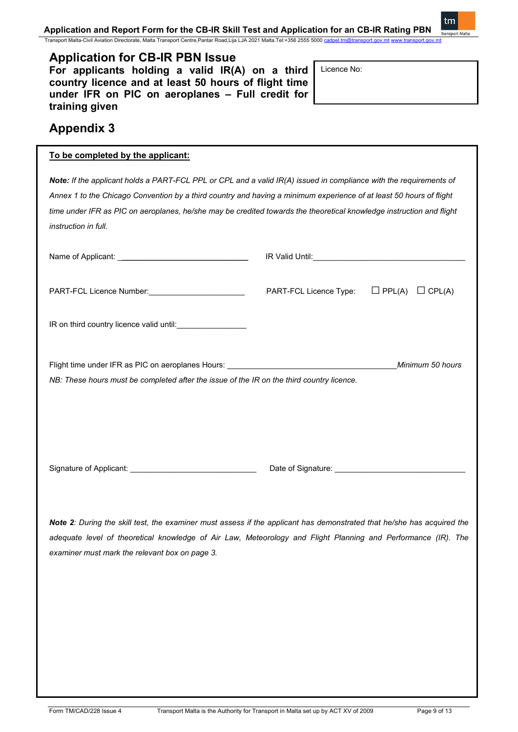Transport Malta-Civil Aviation Directorate, Malta Transport Centre,Pantar Road,Lija LJA 2021 Malta.Tel:+356 2555 5000 [cadpel.tm@transport.gov.mt](mailto:cadpel.tm@transport.gov.mt) [www.transport.gov.mt](http://www.transport.gov.mt/)

| <b>Application for CB-IR PBN Issue</b>               |  |  |
|------------------------------------------------------|--|--|
| For applicants holding a valid $IR(A)$ on a third    |  |  |
| country licence and at least 50 hours of flight time |  |  |
| under IFR on PIC on aeroplanes - Full credit for     |  |  |
| training given                                       |  |  |

Licence No:

# **Appendix 3**

| To be completed by the applicant:                                                                                                                                                                                                                                                                                                                                                         |  |  |  |
|-------------------------------------------------------------------------------------------------------------------------------------------------------------------------------------------------------------------------------------------------------------------------------------------------------------------------------------------------------------------------------------------|--|--|--|
| Note: If the applicant holds a PART-FCL PPL or CPL and a valid IR(A) issued in compliance with the requirements of<br>Annex 1 to the Chicago Convention by a third country and having a minimum experience of at least 50 hours of flight<br>time under IFR as PIC on aeroplanes, he/she may be credited towards the theoretical knowledge instruction and flight<br>instruction in full. |  |  |  |
|                                                                                                                                                                                                                                                                                                                                                                                           |  |  |  |
|                                                                                                                                                                                                                                                                                                                                                                                           |  |  |  |
| IR on third country licence valid until: ___________________                                                                                                                                                                                                                                                                                                                              |  |  |  |
| NB: These hours must be completed after the issue of the IR on the third country licence.                                                                                                                                                                                                                                                                                                 |  |  |  |
|                                                                                                                                                                                                                                                                                                                                                                                           |  |  |  |
| Note 2: During the skill test, the examiner must assess if the applicant has demonstrated that he/she has acquired the<br>adequate level of theoretical knowledge of Air Law, Meteorology and Flight Planning and Performance (IR). The<br>examiner must mark the relevant box on page 3.                                                                                                 |  |  |  |

tm Trai

nrt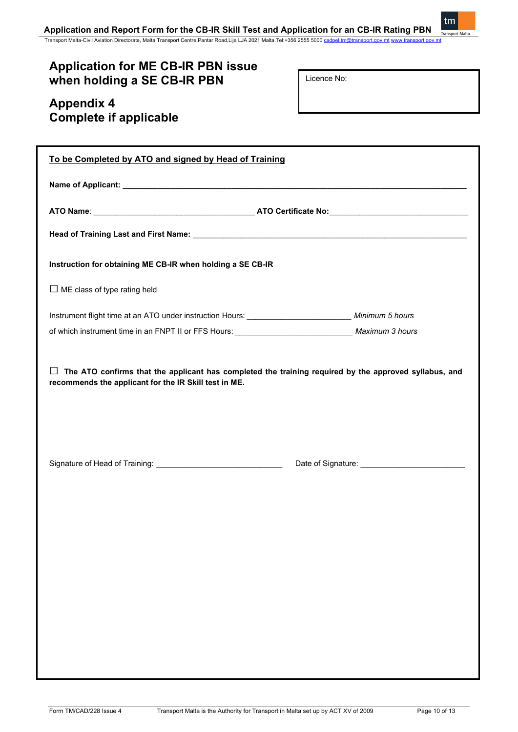Transport Malta-Civil Aviation Directorate, Malta Transport Centre,Pantar Road,Lija LJA 2021 Malta.Tel:+356 2555 5000 [cadpel.tm@transport.gov.mt](mailto:cadpel.tm@transport.gov.mt) www

# **Application for ME CB-IR PBN issue when holding a SE CB-IR PBN**

Licence No:

# **Appendix 4 Complete if applicable**

| To be Completed by ATO and signed by Head of Training                                                   |  |  |
|---------------------------------------------------------------------------------------------------------|--|--|
|                                                                                                         |  |  |
|                                                                                                         |  |  |
|                                                                                                         |  |  |
| Instruction for obtaining ME CB-IR when holding a SE CB-IR                                              |  |  |
| $\Box$ ME class of type rating held                                                                     |  |  |
|                                                                                                         |  |  |
| of which instrument time in an FNPT II or FFS Hours: __________________________________ Maximum 3 hours |  |  |
| recommends the applicant for the IR Skill test in ME.                                                   |  |  |
|                                                                                                         |  |  |
|                                                                                                         |  |  |
|                                                                                                         |  |  |
|                                                                                                         |  |  |
|                                                                                                         |  |  |
|                                                                                                         |  |  |
|                                                                                                         |  |  |
|                                                                                                         |  |  |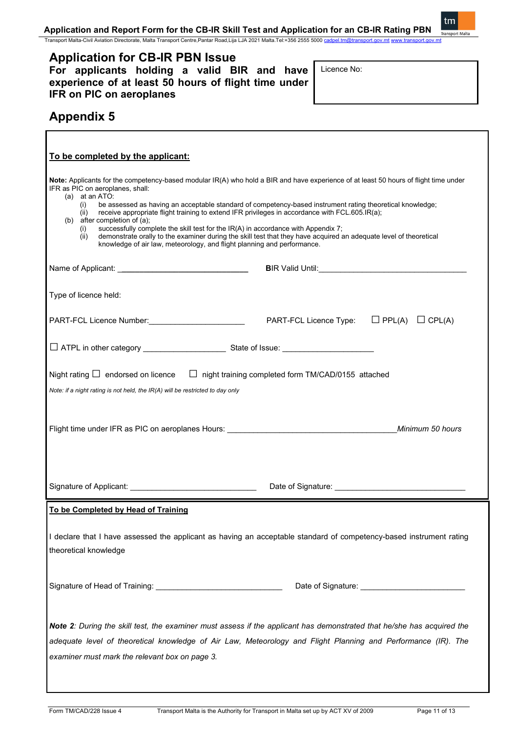# Transport Malta-Civil Aviation Directorate, Malta Transport Centre,Pantar Road,Lija LJA 2021 Malta.Tel:+356 2555 5000 <u>[cadpel.tm@transport.gov.mt](mailto:cadpel.tm@transport.gov.mt)</u> www.t<u>ransport.gov.mt</u> **Application for CB-IR PBN Issue For applicants holding a valid BIR and have experience of at least 50 hours of flight time under IFR on PIC on aeroplanes Appendix 5 To be completed by the applicant: Note:** Applicants for the competency-based modular IR(A) who hold a BIR and have experience of at least 50 hours of flight time under IFR as PIC on aeroplanes, shall: (a) at an ATO: (i) be assessed as having an acceptable standard of competency-based instrument rating theoretical knowledge; (ii) receive appropriate flight training to extend IFR privileges in accordance with FCL.605.IR(a); (b) after completion of (a); (i) successfully complete the skill test for the  $IR(A)$  in accordance with Appendix 7; (ii) demonstrate orally to the examiner during the skill test that they have acquired an adequate level of theoretical knowledge of air law, meteorology, and flight planning and performance. Name of Applicant: \_**\_\_\_\_\_\_\_\_\_\_\_\_\_\_\_\_\_\_\_\_\_\_\_\_\_\_\_\_\_ B**IR Valid Until:\_\_\_\_\_\_\_\_\_\_\_\_\_\_\_\_\_\_\_\_\_\_\_\_\_\_\_\_\_\_\_\_\_\_ Type of licence held: PART-FCL Licence Number:\_\_\_\_\_\_\_\_\_\_\_\_\_\_\_\_\_\_\_\_\_\_ PART-FCL Licence Type: □ PPL(A) □ CPL(A) □ ATPL in other category \_\_\_\_\_\_\_\_\_\_\_\_\_\_\_\_\_\_\_ State of Issue: \_\_\_\_\_\_\_\_\_\_\_\_\_\_\_\_\_\_\_\_\_ Night rating  $\square$  endorsed on licence  $\square$  night training completed form TM/CAD/0155 attached *Note: if a night rating is not held, the IR(A) will be restricted to day only* Flight time under IFR as PIC on aeroplanes Hours: \_\_\_\_\_\_\_\_\_\_\_\_\_\_\_\_\_\_\_\_\_\_\_\_\_\_\_\_\_\_\_\_\_\_\_\_\_\_\_*Minimum 50 hours* Signature of Applicant: \_\_\_\_\_\_\_\_\_\_\_\_\_\_\_\_\_\_\_\_\_\_\_\_\_\_\_\_\_ Date of Signature: \_\_\_\_\_\_\_\_\_\_\_\_\_\_\_\_\_\_\_\_\_\_\_\_\_\_\_\_\_\_ **To be Completed by Head of Training** I declare that I have assessed the applicant as having an acceptable standard of competency-based instrument rating theoretical knowledge Signature of Head of Training: \_\_\_\_\_\_\_\_\_\_\_\_\_\_\_\_\_\_\_\_\_\_\_\_\_\_\_\_\_ Date of Signature: \_\_\_\_\_\_\_\_\_\_\_\_\_\_\_\_\_\_\_\_\_\_\_\_ *Note 2: During the skill test, the examiner must assess if the applicant has demonstrated that he/she has acquired the adequate level of theoretical knowledge of Air Law, Meteorology and Flight Planning and Performance (IR). The examiner must mark the relevant box on page 3.* Licence No: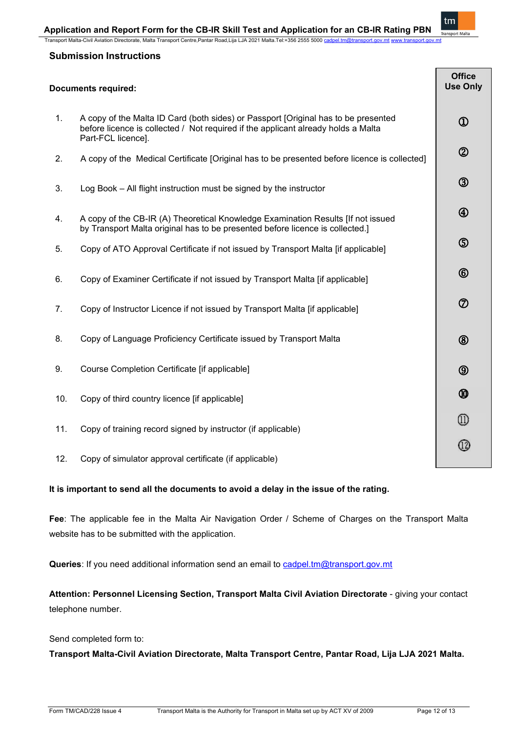## **Application and Report Form for the CB-IR Skill Test and Application for an CB-IR Rating PBN**

Transport Malta-Civil Aviation Directorate, Malta Transport Centre,Pantar Road,Lija LJA 2021 Malta.Tel:+356 2555 5000 cadpel.tm@tran

# **Submission Instructions**

| <b>Documents required:</b> |                                                                                                                                                                                               | <b>Office</b><br><b>Use Only</b> |
|----------------------------|-----------------------------------------------------------------------------------------------------------------------------------------------------------------------------------------------|----------------------------------|
| 1.                         | A copy of the Malta ID Card (both sides) or Passport [Original has to be presented<br>before licence is collected / Not required if the applicant already holds a Malta<br>Part-FCL licence]. | $^{\circledR}$                   |
| 2.                         | A copy of the Medical Certificate [Original has to be presented before licence is collected]                                                                                                  | $^{\circledR}$                   |
| 3.                         | Log Book - All flight instruction must be signed by the instructor                                                                                                                            | $\circled{3}$                    |
| 4.                         | A copy of the CB-IR (A) Theoretical Knowledge Examination Results [If not issued<br>by Transport Malta original has to be presented before licence is collected.]                             | $^{\circledR}$                   |
| 5.                         | Copy of ATO Approval Certificate if not issued by Transport Malta [if applicable]                                                                                                             | $\circledS$                      |
| 6.                         | Copy of Examiner Certificate if not issued by Transport Malta [if applicable]                                                                                                                 | $^{\circledR}$                   |
| 7.                         | Copy of Instructor Licence if not issued by Transport Malta [if applicable]                                                                                                                   | $\circledcirc$                   |
| 8.                         | Copy of Language Proficiency Certificate issued by Transport Malta                                                                                                                            | $\circledR$                      |
| 9.                         | Course Completion Certificate [if applicable]                                                                                                                                                 | $\circledcirc$                   |
| 10.                        | Copy of third country licence [if applicable]                                                                                                                                                 | $\circledR$                      |
| 11.                        | Copy of training record signed by instructor (if applicable)                                                                                                                                  | ⅏                                |
| 12.                        | Copy of simulator approval certificate (if applicable)                                                                                                                                        | ᠓                                |

# **It is important to send all the documents to avoid a delay in the issue of the rating.**

**Fee**: The applicable fee in the Malta Air Navigation Order / Scheme of Charges on the Transport Malta website has to be submitted with the application.

Queries: If you need additional information send an email to cadpel.tm@transport.gov.mt

Attention: Personnel Licensing Section, Transport Malta Civil Aviation Directorate - giving your contact telephone number.

## Send completed form to:

**Transport Malta-Civil Aviation Directorate, Malta Transport Centre, Pantar Road, Lija LJA 2021 Malta.**